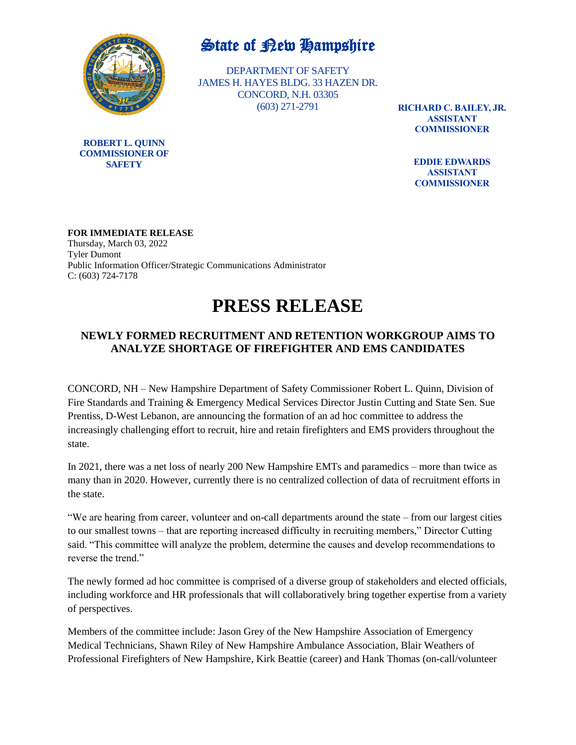

## State of Rew Hampshire

DEPARTMENT OF SAFETY JAMES H. HAYES BLDG. 33 HAZEN DR. CONCORD, N.H. 03305 (603) 271-2791

**RICHARD C. BAILEY, JR. ASSISTANT COMMISSIONER**

> **EDDIE EDWARDS ASSISTANT COMMISSIONER**

**FOR IMMEDIATE RELEASE** Thursday, March 03, 2022 Tyler Dumont Public Information Officer/Strategic Communications Administrator C: (603) 724-7178

## **PRESS RELEASE**

## **NEWLY FORMED RECRUITMENT AND RETENTION WORKGROUP AIMS TO ANALYZE SHORTAGE OF FIREFIGHTER AND EMS CANDIDATES**

CONCORD, NH – New Hampshire Department of Safety Commissioner Robert L. Quinn, Division of Fire Standards and Training & Emergency Medical Services Director Justin Cutting and State Sen. Sue Prentiss, D-West Lebanon, are announcing the formation of an ad hoc committee to address the increasingly challenging effort to recruit, hire and retain firefighters and EMS providers throughout the state.

In 2021, there was a net loss of nearly 200 New Hampshire EMTs and paramedics – more than twice as many than in 2020. However, currently there is no centralized collection of data of recruitment efforts in the state.

"We are hearing from career, volunteer and on-call departments around the state – from our largest cities to our smallest towns – that are reporting increased difficulty in recruiting members," Director Cutting said. "This committee will analyze the problem, determine the causes and develop recommendations to reverse the trend."

The newly formed ad hoc committee is comprised of a diverse group of stakeholders and elected officials, including workforce and HR professionals that will collaboratively bring together expertise from a variety of perspectives.

Members of the committee include: Jason Grey of the New Hampshire Association of Emergency Medical Technicians, Shawn Riley of New Hampshire Ambulance Association, Blair Weathers of Professional Firefighters of New Hampshire, Kirk Beattie (career) and Hank Thomas (on-call/volunteer

**ROBERT L. QUINN COMMISSIONER OF SAFETY**